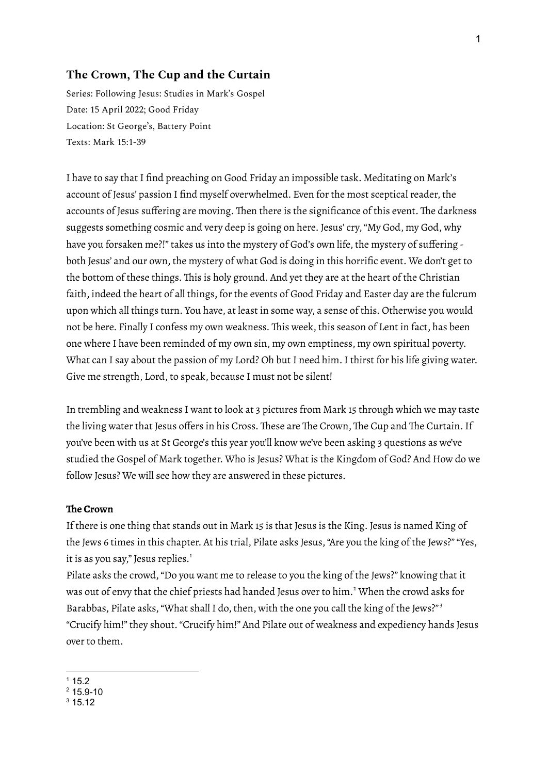## **The Crown, The Cup and the Curtain**

Series: Following Jesus: Studies in Mark's Gospel Date: 15 April 2022; Good Friday Location: St George's, Battery Point Texts: Mark 15:1-39

I have to say that I find preaching on Good Friday an impossible task. Meditating on Mark's account of Jesus' passion I find myself overwhelmed. Even for the most sceptical reader, the accounts of Jesus suffering are moving. Then there is the significance of this event. The darkness suggests something cosmic and very deep is going on here. Jesus' cry,"My God, my God, why have you forsaken me?!" takes us into the mystery of God's own life, the mystery of suffering both Jesus' and our own, the mystery of what God is doing in this horrific event. We don't get to the bottom of these things. This is holy ground. And yet they are at the heart of the Christian faith, indeed the heart of all things, for the events of Good Friday and Easter day are the fulcrum upon which all things turn. You have, at least in some way, a sense of this. Otherwise you would not be here. Finally I confess my own weakness. This week, this season of Lent in fact, has been one where I have been reminded of my own sin, my own emptiness, my own spiritual poverty. What can I say about the passion of my Lord? Oh but I need him. I thirst for his life giving water. Give me strength, Lord, to speak, because I must not be silent!

In trembling and weakness I want to look at 3 pictures from Mark 15 through which we may taste the living water that Jesus offers in his Cross. These are The Crown, The Cup and The Curtain. If you've been with us at St George's this year you'll know we've been asking 3 questions as we've studied the Gospel of Mark together. Who is Jesus? What is the Kingdom of God? And How do we follow Jesus? We will see how they are answered in these pictures.

## **The Crown**

If there is one thing that stands out in Mark 15 is that Jesus is the King. Jesus is named King of the Jews 6 times in this chapter. At his trial, Pilate asks Jesus, "Are you the king of the Jews?" "Yes, it is as you say," Jesus replies. 1

Pilate asks the crowd,"Do you want me to release to you the king of the Jews?" knowing that it was out of envy that the chief priests had handed Jesus over to him. <sup>2</sup> When the crowd asks for Barabbas, Pilate asks, "What shall I do, then, with the one you call the king of the Jews?"<sup>3</sup> "Crucify him!" they shout."Crucify him!" And Pilate out of weakness and expediency hands Jesus over to them.

 $115.2$ 

 $2$  15.9-10

 $3, 15, 12$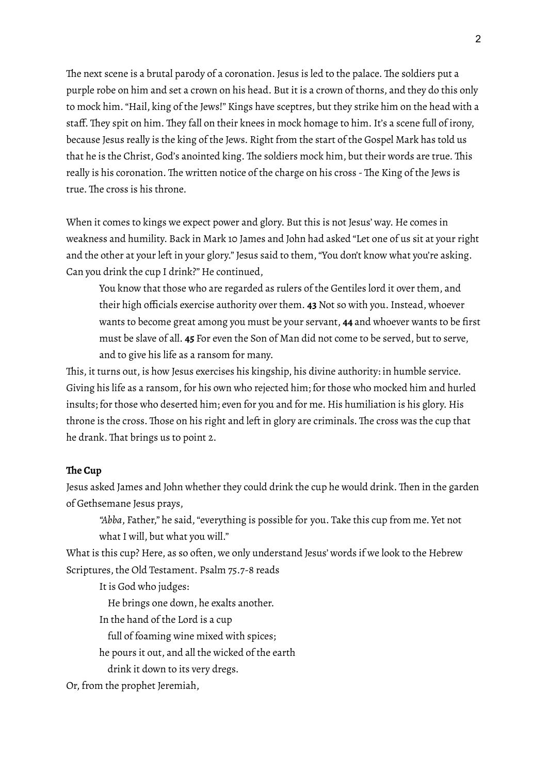The next scene is a brutal parody of a coronation. Jesus is led to the palace. The soldiers put a purple robe on him and set a crown on his head. But it is a crown of thorns, and they do this only to mock him."Hail, king of the Jews!" Kings have sceptres, but they strike him on the head with a staff. They spit on him. They fall on their knees in mock homage to him. It's a scene full of irony, because Jesus really is the king of the Jews. Right from the start of the Gospel Mark has told us that he is the Christ, God's anointed king. The soldiers mock him, but their words are true. This really is his coronation. The written notice of the charge on his cross - The King of the Jews is true. The cross is his throne.

When it comes to kings we expect power and glory. But this is not Jesus' way. He comes in weakness and humility. Back in Mark 10 James and John had asked "Let one of us sit at your right and the other at your left in your glory." Jesus said to them, "You don't know what you're asking. Can you drink the cup I drink?" He continued,

You know that those who are regarded as rulers of the Gentiles lord it over them, and their high officials exercise authority over them. **43** Not so with you.Instead, whoever wants to become great among you must be your servant, **44** and whoever wants to be first must be slave of all. **45** For even the Son of Man did not come to be served, but to serve, and to give his life as a ransom for many.

This, it turns out, is how Jesus exercises his kingship, his divine authority: in humble service. Giving his life as a ransom, for his own who rejected him; for those who mocked him and hurled insults; for those who deserted him; even for you and for me. His humiliation is his glory. His throne is the cross. Those on his right and left in glory are criminals. The cross was the cup that he drank. That brings us to point 2.

## **The Cup**

Jesus asked James and John whether they could drink the cup he would drink. Then in the garden of Gethsemane Jesus prays,

*"Abba*, Father," he said,"everything is possible for you. Take this cup from me. Yet not what I will, but what you will."

What is this cup? Here, as so often, we only understand Jesus' words if we look to the Hebrew Scriptures, the Old Testament. Psalm 75.7-8 reads

It is God who judges:

He brings one down, he exalts another.

In the hand of the Lord is a cup

full of foaming wine mixed with spices;

he pours it out, and all the wicked of the earth

drink it down to its very dregs.

Or, from the prophet Jeremiah,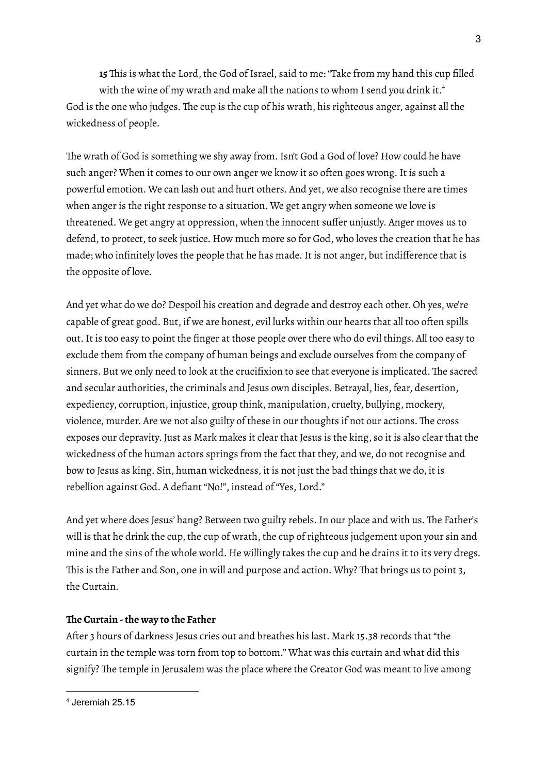**15** This is what the Lord, the God of Israel, said to me: "Take from my hand this cup filled with the wine of my wrath and make all the nations to whom I send you drink it. 4 God is the one who judges. The cup is the cup of his wrath, his righteous anger, against all the wickedness of people.

The wrath of God is something we shy away from. Isn't God a God of love? How could he have such anger? When it comes to our own anger we know it so often goes wrong. It is such a powerful emotion. We can lash out and hurt others. And yet, we also recognise there are times when anger is the right response to a situation. We get angry when someone we love is threatened. We get angry at oppression, when the innocent suffer unjustly. Anger moves us to defend, to protect, to seek justice. How much more so for God, who loves the creation that he has made; who infinitely loves the people that he has made.It is not anger, but indifference that is the opposite of love.

And yet what do we do? Despoil his creation and degrade and destroy each other. Oh yes, we're capable of great good. But, if we are honest, evil lurks within our hearts that all too often spills out.It is too easy to point the finger at those people over there who do evil things. All too easy to exclude them from the company of human beings and exclude ourselves from the company of sinners. But we only need to look at the crucifixion to see that everyone is implicated. The sacred and secular authorities, the criminals and Jesus own disciples. Betrayal, lies, fear, desertion, expediency, corruption, injustice, group think, manipulation, cruelty, bullying, mockery, violence, murder. Are we not also guilty of these in our thoughts if not our actions. The cross exposes our depravity. Just as Mark makes it clear that Jesus is the king, so it is also clear that the wickedness of the human actors springs from the fact that they, and we, do not recognise and bow to Jesus as king. Sin, human wickedness, it is not just the bad things that we do, it is rebellion against God. A defiant "No!", instead of "Yes, Lord."

And yet where does Jesus' hang? Between two guilty rebels.In our place and with us. The Father's will is that he drink the cup, the cup of wrath, the cup of righteous judgement upon your sin and mine and the sins of the whole world. He willingly takes the cup and he drains it to its very dregs. This is the Father and Son, one in will and purpose and action. Why? That brings us to point 3, the Curtain.

## **The Curtain -the way to the Father**

After 3 hours of darkness Jesus cries out and breathes his last. Mark 15.38 records that "the curtain in the temple was torn from top to bottom." What was this curtain and what did this signify? The temple in Jerusalem was the place where the Creator God was meant to live among

 $<sup>4</sup>$  Jeremiah 25.15</sup>